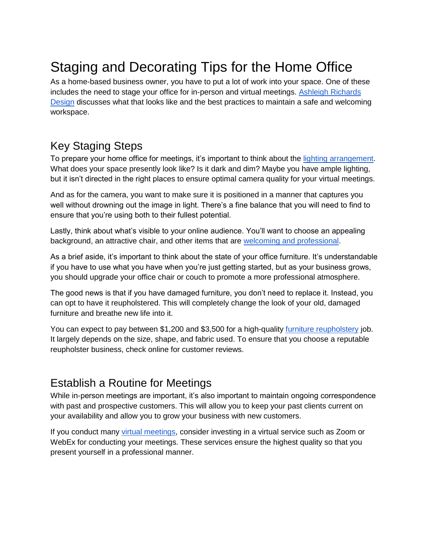## Staging and Decorating Tips for the Home Office

As a home-based business owner, you have to put a lot of work into your space. One of these includes the need to stage your office for in-person and virtual meetings. [Ashleigh Richards](https://www.ashleighrichards.com/)  [Design](https://www.ashleighrichards.com/) discusses what that looks like and the best practices to maintain a safe and welcoming workspace.

## Key Staging Steps

To prepare your home office for meetings, it's important to think about the [lighting arrangement.](https://www.thespruce.com/tips-for-better-home-office-lighting-1812436) What does your space presently look like? Is it dark and dim? Maybe you have ample lighting, but it isn't directed in the right places to ensure optimal camera quality for your virtual meetings.

And as for the camera, you want to make sure it is positioned in a manner that captures you well without drowning out the image in light. There's a fine balance that you will need to find to ensure that you're using both to their fullest potential.

Lastly, think about what's visible to your online audience. You'll want to choose an appealing background, an attractive chair, and other items that are [welcoming and professional.](https://www.ashleighrichards.com/baywood-office)

As a brief aside, it's important to think about the state of your office furniture. It's understandable if you have to use what you have when you're just getting started, but as your business grows, you should upgrade your office chair or couch to promote a more professional atmosphere.

The good news is that if you have damaged furniture, you don't need to replace it. Instead, you can opt to have it reupholstered. This will completely change the look of your old, damaged furniture and breathe new life into it.

You can expect to pay between \$1,200 and \$3,500 for a high-quality [furniture reupholstery](https://www.angi.com/nearme/furniture-reupholstery/) job. It largely depends on the size, shape, and fabric used. To ensure that you choose a reputable reupholster business, check online for customer reviews.

## Establish a Routine for Meetings

While in-person meetings are important, it's also important to maintain ongoing correspondence with past and prospective customers. This will allow you to keep your past clients current on your availability and allow you to grow your business with new customers.

If you conduct many [virtual meetings,](https://www.smartmeetings.com/tips-tools/technology/85250/12-tech-tools-for-virtual-meetings) consider investing in a virtual service such as Zoom or WebEx for conducting your meetings. These services ensure the highest quality so that you present yourself in a professional manner.